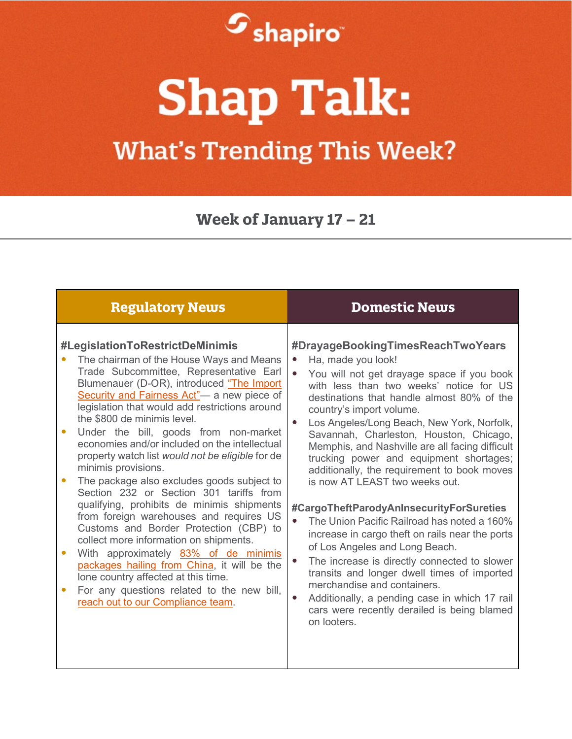

## **Shap Talk:**

## **What's Trending This Week?**

**Week of January 17 – 21**

| <b>Regulatory News</b>                                                                                                                                                                                                                                                                                                                                                                                                                                                                                                                                                                                                                                                                                                                                                                                                                                                                                                                                                                   | <b>Domestic News</b>                                                                                                                                                                                                                                                                                                                                                                                                                                                                                                                                                                                                                                                                                                                                                                                                                                                                                                                         |
|------------------------------------------------------------------------------------------------------------------------------------------------------------------------------------------------------------------------------------------------------------------------------------------------------------------------------------------------------------------------------------------------------------------------------------------------------------------------------------------------------------------------------------------------------------------------------------------------------------------------------------------------------------------------------------------------------------------------------------------------------------------------------------------------------------------------------------------------------------------------------------------------------------------------------------------------------------------------------------------|----------------------------------------------------------------------------------------------------------------------------------------------------------------------------------------------------------------------------------------------------------------------------------------------------------------------------------------------------------------------------------------------------------------------------------------------------------------------------------------------------------------------------------------------------------------------------------------------------------------------------------------------------------------------------------------------------------------------------------------------------------------------------------------------------------------------------------------------------------------------------------------------------------------------------------------------|
| #LegislationToRestrictDeMinimis<br>The chairman of the House Ways and Means<br>Trade Subcommittee, Representative Earl<br>Blumenauer (D-OR), introduced "The Import<br>Security and Fairness Act"- a new piece of<br>legislation that would add restrictions around<br>the \$800 de minimis level.<br>Under the bill, goods from non-market<br>economies and/or included on the intellectual<br>property watch list would not be eligible for de<br>minimis provisions.<br>The package also excludes goods subject to<br>$\bullet$<br>Section 232 or Section 301 tariffs from<br>qualifying, prohibits de minimis shipments<br>from foreign warehouses and requires US<br>Customs and Border Protection (CBP) to<br>collect more information on shipments.<br>With approximately 83% of de minimis<br>packages hailing from China, it will be the<br>lone country affected at this time.<br>For any questions related to the new bill,<br>$\bullet$<br>reach out to our Compliance team. | #DrayageBookingTimesReachTwoYears<br>Ha, made you look!<br>$\bullet$<br>You will not get drayage space if you book<br>with less than two weeks' notice for US<br>destinations that handle almost 80% of the<br>country's import volume.<br>Los Angeles/Long Beach, New York, Norfolk,<br>Savannah, Charleston, Houston, Chicago,<br>Memphis, and Nashville are all facing difficult<br>trucking power and equipment shortages;<br>additionally, the requirement to book moves<br>is now AT LEAST two weeks out.<br>#CargoTheftParodyAnInsecurityForSureties<br>The Union Pacific Railroad has noted a 160%<br>increase in cargo theft on rails near the ports<br>of Los Angeles and Long Beach.<br>The increase is directly connected to slower<br>transits and longer dwell times of imported<br>merchandise and containers.<br>Additionally, a pending case in which 17 rail<br>cars were recently derailed is being blamed<br>on looters. |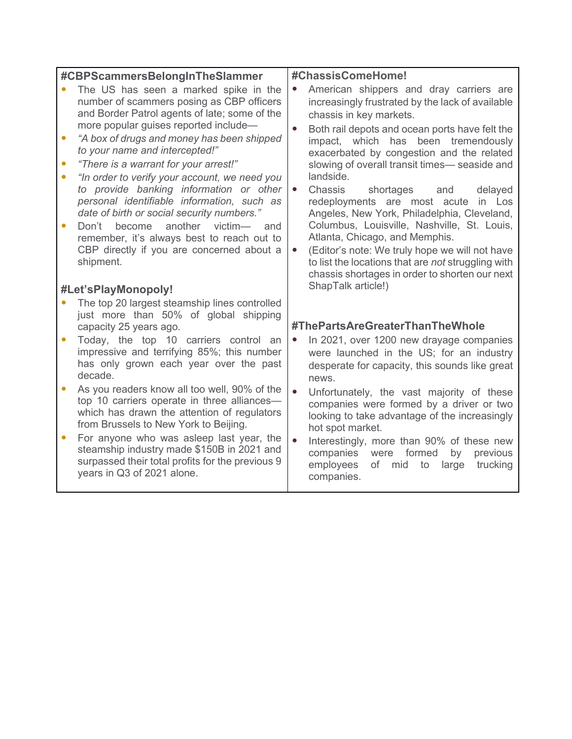| #CBPScammersBelongInTheSlammer |                                                                                                                                                                                                                                      | #ChassisComeHome! |                                                                                                                                                                                                                  |
|--------------------------------|--------------------------------------------------------------------------------------------------------------------------------------------------------------------------------------------------------------------------------------|-------------------|------------------------------------------------------------------------------------------------------------------------------------------------------------------------------------------------------------------|
|                                | The US has seen a marked spike in the<br>number of scammers posing as CBP officers<br>and Border Patrol agents of late; some of the                                                                                                  |                   | American shippers and dray carriers are<br>increasingly frustrated by the lack of available<br>chassis in key markets.                                                                                           |
|                                | more popular guises reported include-<br>"A box of drugs and money has been shipped<br>to your name and intercepted!"<br>"There is a warrant for your arrest!"<br>"In order to verify your account, we need you                      |                   | Both rail depots and ocean ports have felt the<br>impact, which has been tremendously<br>exacerbated by congestion and the related<br>slowing of overall transit times- seaside and<br>landside.                 |
|                                | to provide banking information or other<br>personal identifiable information, such as<br>date of birth or social security numbers."<br>Don't<br>another<br>$victim$ —<br>become<br>and<br>remember, it's always best to reach out to |                   | Chassis<br>shortages<br>delayed<br>and<br>redeployments are most acute<br>in Los<br>Angeles, New York, Philadelphia, Cleveland,<br>Columbus, Louisville, Nashville, St. Louis,<br>Atlanta, Chicago, and Memphis. |
|                                | CBP directly if you are concerned about a<br>shipment.                                                                                                                                                                               |                   | (Editor's note: We truly hope we will not have<br>to list the locations that are not struggling with<br>chassis shortages in order to shorten our next                                                           |
|                                | #Let'sPlayMonopoly!                                                                                                                                                                                                                  |                   | ShapTalk article!)                                                                                                                                                                                               |
|                                | The top 20 largest steamship lines controlled<br>just more than 50% of global shipping<br>capacity 25 years ago.                                                                                                                     |                   | #ThePartsAreGreaterThanTheWhole                                                                                                                                                                                  |
|                                | Today, the top 10 carriers control an<br>impressive and terrifying 85%; this number<br>has only grown each year over the past<br>decade.                                                                                             |                   | In 2021, over 1200 new drayage companies<br>were launched in the US; for an industry<br>desperate for capacity, this sounds like great<br>news.                                                                  |
|                                | As you readers know all too well, 90% of the<br>top 10 carriers operate in three alliances-<br>which has drawn the attention of regulators<br>from Brussels to New York to Beijing.                                                  |                   | Unfortunately, the vast majority of these<br>companies were formed by a driver or two<br>looking to take advantage of the increasingly<br>hot spot market.                                                       |
|                                | For anyone who was asleep last year, the<br>steamship industry made \$150B in 2021 and<br>surpassed their total profits for the previous 9<br>years in Q3 of 2021 alone.                                                             |                   | Interestingly, more than 90% of these new<br>formed<br>companies were<br>by<br>previous<br>employees<br>of<br>mid to<br>large<br>trucking<br>companies.                                                          |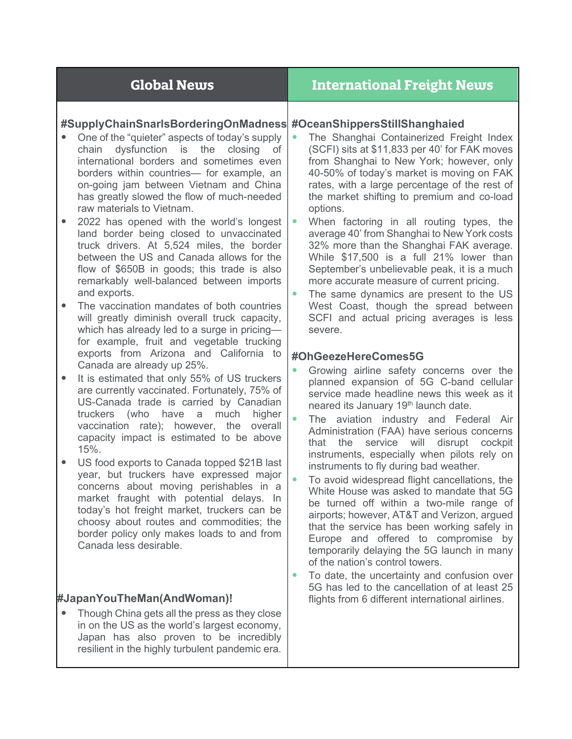| <b>Global News</b>                                                 | <b>International Freight News</b>                |
|--------------------------------------------------------------------|--------------------------------------------------|
| #SupplyChainSnarlsBorderingOnMadness #OceanShippersStillShanghaied | The Shanghai Containerized Freight Index         |
| One of the "quieter" aspects of today's supply                     | (SCFI) sits at \$11,833 per 40' for FAK moves    |
| chain dysfunction is the                                           | from Shanghai to New York; however, only         |
| closing                                                            | 40-50% of today's market is moving on FAK        |
| of                                                                 | rates, with a large percentage of the rest of    |
| international borders and sometimes even                           | the market shifting to premium and co-load       |
| borders within countries— for example, an                          | options.                                         |
| on-going jam between Vietnam and China                             | When factoring in all routing types, the         |
| has greatly slowed the flow of much-needed                         | $\bullet$                                        |
| raw materials to Vietnam.                                          | average 40' from Shanghai to New York costs      |
| 2022 has opened with the world's longest                           | 32% more than the Shanghai FAK average.          |
| land border being closed to unvaccinated                           | While \$17,500 is a full 21% lower than          |
| truck drivers. At 5,524 miles, the border                          | September's unbelievable peak, it is a much      |
| between the US and Canada allows for the                           | more accurate measure of current pricing.        |
| flow of \$650B in goods; this trade is also                        | The same dynamics are present to the US          |
| remarkably well-balanced between imports                           | $\bullet$                                        |
| and exports.                                                       | West Coast, though the spread between            |
| The vaccination mandates of both countries                         | SCFI and actual pricing averages is less         |
| will greatly diminish overall truck capacity,                      | severe.                                          |
| which has already led to a surge in pricing-                       | #OhGeezeHereComes5G                              |
| for example, fruit and vegetable trucking                          | Growing airline safety concerns over the         |
| exports from Arizona and California to                             | $\bullet$                                        |
| Canada are already up 25%.                                         | planned expansion of 5G C-band cellular          |
| It is estimated that only 55% of US truckers                       | service made headline news this week as it       |
| $\bullet$                                                          | neared its January 19 <sup>th</sup> launch date. |
| are currently vaccinated. Fortunately, 75% of                      | $\bullet$                                        |
| US-Canada trade is carried by Canadian                             | The aviation industry and Federal Air            |
| truckers (who have a much                                          | Administration (FAA) have serious concerns       |
| higher                                                             | service will                                     |
| vaccination rate); however, the overall                            | disrupt                                          |
| capacity impact is estimated to be above                           | the                                              |
| 15%.                                                               | cockpit                                          |
| US food exports to Canada topped \$21B last                        | that                                             |
| $\bullet$                                                          | instruments, especially when pilots rely on      |
| year, but truckers have expressed major                            | instruments to fly during bad weather.           |
| concerns about moving perishables in a                             | To avoid widespread flight cancellations, the    |
| market fraught with potential delays. In                           | White House was asked to mandate that 5G         |
| today's hot freight market, truckers can be                        | be turned off within a two-mile range of         |
| choosy about routes and commodities; the                           | airports; however, AT&T and Verizon, argued      |
| border policy only makes loads to and from                         | that the service has been working safely in      |
| Canada less desirable.                                             | Europe and offered to compromise by              |
| #JapanYouTheMan(AndWoman)!                                         | temporarily delaying the 5G launch in many       |
| Though China gets all the press as they close                      | of the nation's control towers.                  |
| in on the US as the world's largest economy,                       | To date, the uncertainty and confusion over      |
| Japan has also proven to be incredibly                             | 5G has led to the cancellation of at least 25    |
| resilient in the highly turbulent pandemic era.                    | flights from 6 different international airlines. |